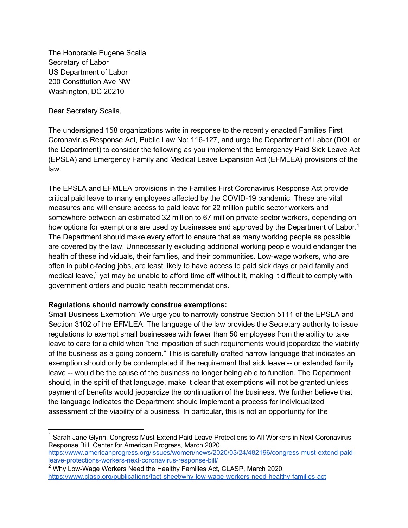The Honorable Eugene Scalia Secretary of Labor US Department of Labor 200 Constitution Ave NW Washington, DC 20210

Dear Secretary Scalia,

The undersigned 158 organizations write in response to the recently enacted Families First Coronavirus Response Act, Public Law No: 116-127, and urge the Department of Labor (DOL or the Department) to consider the following as you implement the Emergency Paid Sick Leave Act (EPSLA) and Emergency Family and Medical Leave Expansion Act (EFMLEA) provisions of the law.

The EPSLA and EFMLEA provisions in the Families First Coronavirus Response Act provide critical paid leave to many employees affected by the COVID-19 pandemic. These are vital measures and will ensure access to paid leave for 22 million public sector workers and somewhere between an estimated 32 million to 67 million private sector workers, depending on how options for exemptions are used by businesses and approved by the Department of Labor.<sup>1</sup> The Department should make every effort to ensure that as many working people as possible are covered by the law. Unnecessarily excluding additional working people would endanger the health of these individuals, their families, and their communities. Low-wage workers, who are often in public-facing jobs, are least likely to have access to paid sick days or paid family and medical leave, $2$  yet may be unable to afford time off without it, making it difficult to comply with government orders and public health recommendations.

#### **Regulations should narrowly construe exemptions:**

Small Business Exemption: We urge you to narrowly construe Section 5111 of the EPSLA and Section 3102 of the EFMLEA. The language of the law provides the Secretary authority to issue regulations to exempt small businesses with fewer than 50 employees from the ability to take leave to care for a child when "the imposition of such requirements would jeopardize the viability of the business as a going concern." This is carefully crafted narrow language that indicates an exemption should only be contemplated if the requirement that sick leave -- or extended family leave -- would be the cause of the business no longer being able to function. The Department should, in the spirit of that language, make it clear that exemptions will not be granted unless payment of benefits would jeopardize the continuation of the business. We further believe that the language indicates the Department should implement a process for individualized assessment of the viability of a business. In particular, this is not an opportunity for the

<sup>&</sup>lt;sup>1</sup> Sarah Jane Glynn, Congress Must Extend Paid Leave Protections to All Workers in Next Coronavirus Response Bill, Center for American Progress, March 2020,

https://www.americanprogress.org/issues/women/news/2020/03/24/482196/congress-must-extend-paidleave-protections-workers-next-coronavirus-response-bill/

<sup>&</sup>lt;sup>2</sup> Why Low-Wage Workers Need the Healthy Families Act, CLASP, March 2020, https://www.clasp.org/publications/fact-sheet/why-low-wage-workers-need-healthy-families-act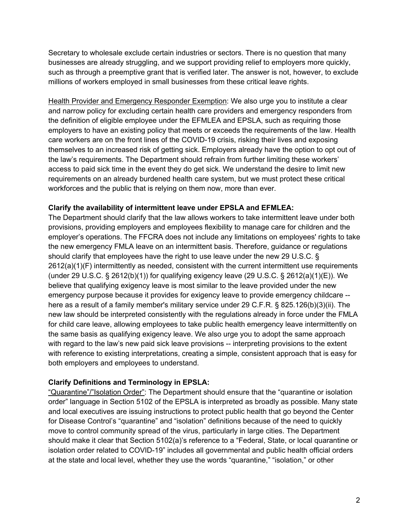Secretary to wholesale exclude certain industries or sectors. There is no question that many businesses are already struggling, and we support providing relief to employers more quickly, such as through a preemptive grant that is verified later. The answer is not, however, to exclude millions of workers employed in small businesses from these critical leave rights.

Health Provider and Emergency Responder Exemption: We also urge you to institute a clear and narrow policy for excluding certain health care providers and emergency responders from the definition of eligible employee under the EFMLEA and EPSLA, such as requiring those employers to have an existing policy that meets or exceeds the requirements of the law. Health care workers are on the front lines of the COVID-19 crisis, risking their lives and exposing themselves to an increased risk of getting sick. Employers already have the option to opt out of the law's requirements. The Department should refrain from further limiting these workers' access to paid sick time in the event they do get sick. We understand the desire to limit new requirements on an already burdened health care system, but we must protect these critical workforces and the public that is relying on them now, more than ever.

#### **Clarify the availability of intermittent leave under EPSLA and EFMLEA:**

The Department should clarify that the law allows workers to take intermittent leave under both provisions, providing employers and employees flexibility to manage care for children and the employer's operations. The FFCRA does not include any limitations on employees' rights to take the new emergency FMLA leave on an intermittent basis. Therefore, guidance or regulations should clarify that employees have the right to use leave under the new 29 U.S.C. § 2612(a)(1)(F) intermittently as needed, consistent with the current intermittent use requirements (under 29 U.S.C.  $\S$  2612(b)(1)) for qualifying exigency leave (29 U.S.C.  $\S$  2612(a)(1)(E)). We believe that qualifying exigency leave is most similar to the leave provided under the new emergency purpose because it provides for exigency leave to provide emergency childcare - here as a result of a family member's military service under 29 C.F.R. § 825.126(b)(3)(ii). The new law should be interpreted consistently with the regulations already in force under the FMLA for child care leave, allowing employees to take public health emergency leave intermittently on the same basis as qualifying exigency leave. We also urge you to adopt the same approach with regard to the law's new paid sick leave provisions -- interpreting provisions to the extent with reference to existing interpretations, creating a simple, consistent approach that is easy for both employers and employees to understand.

#### **Clarify Definitions and Terminology in EPSLA:**

"Quarantine"/"Isolation Order": The Department should ensure that the "quarantine or isolation order" language in Section 5102 of the EPSLA is interpreted as broadly as possible. Many state and local executives are issuing instructions to protect public health that go beyond the Center for Disease Control's "quarantine" and "isolation" definitions because of the need to quickly move to control community spread of the virus, particularly in large cities. The Department should make it clear that Section 5102(a)'s reference to a "Federal, State, or local quarantine or isolation order related to COVID-19" includes all governmental and public health official orders at the state and local level, whether they use the words "quarantine," "isolation," or other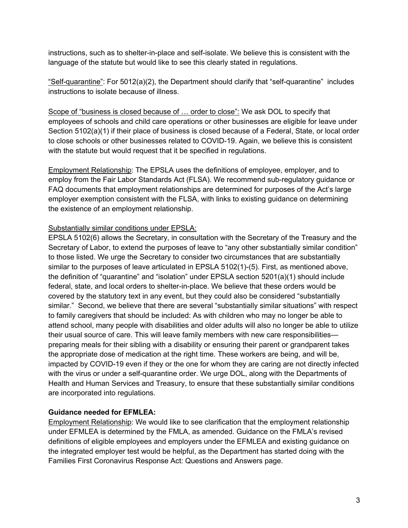instructions, such as to shelter-in-place and self-isolate. We believe this is consistent with the language of the statute but would like to see this clearly stated in regulations.

"Self-quarantine": For 5012(a)(2), the Department should clarify that "self-quarantine" includes instructions to isolate because of illness.

Scope of "business is closed because of … order to close": We ask DOL to specify that employees of schools and child care operations or other businesses are eligible for leave under Section 5102(a)(1) if their place of business is closed because of a Federal, State, or local order to close schools or other businesses related to COVID-19. Again, we believe this is consistent with the statute but would request that it be specified in regulations.

Employment Relationship: The EPSLA uses the definitions of employee, employer, and to employ from the Fair Labor Standards Act (FLSA). We recommend sub-regulatory guidance or FAQ documents that employment relationships are determined for purposes of the Act's large employer exemption consistent with the FLSA, with links to existing guidance on determining the existence of an employment relationship.

## Substantially similar conditions under EPSLA:

EPSLA 5102(6) allows the Secretary, in consultation with the Secretary of the Treasury and the Secretary of Labor, to extend the purposes of leave to "any other substantially similar condition" to those listed. We urge the Secretary to consider two circumstances that are substantially similar to the purposes of leave articulated in EPSLA 5102(1)-(5). First, as mentioned above, the definition of "quarantine" and "isolation" under EPSLA section 5201(a)(1) should include federal, state, and local orders to shelter-in-place. We believe that these orders would be covered by the statutory text in any event, but they could also be considered "substantially similar." Second, we believe that there are several "substantially similar situations" with respect to family caregivers that should be included: As with children who may no longer be able to attend school, many people with disabilities and older adults will also no longer be able to utilize their usual source of care. This will leave family members with new care responsibilities preparing meals for their sibling with a disability or ensuring their parent or grandparent takes the appropriate dose of medication at the right time. These workers are being, and will be, impacted by COVID-19 even if they or the one for whom they are caring are not directly infected with the virus or under a self-quarantine order. We urge DOL, along with the Departments of Health and Human Services and Treasury, to ensure that these substantially similar conditions are incorporated into regulations.

#### **Guidance needed for EFMLEA:**

Employment Relationship: We would like to see clarification that the employment relationship under EFMLEA is determined by the FMLA, as amended. Guidance on the FMLA's revised definitions of eligible employees and employers under the EFMLEA and existing guidance on the integrated employer test would be helpful, as the Department has started doing with the Families First Coronavirus Response Act: Questions and Answers page.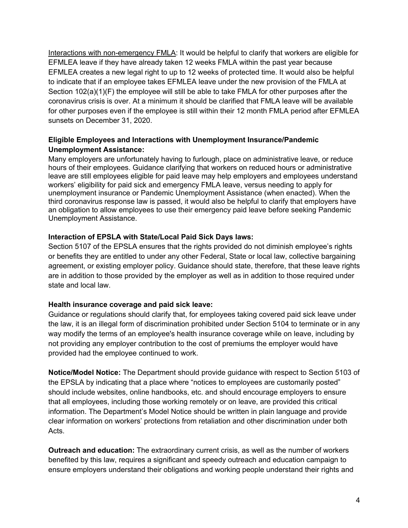Interactions with non-emergency FMLA: It would be helpful to clarify that workers are eligible for EFMLEA leave if they have already taken 12 weeks FMLA within the past year because EFMLEA creates a new legal right to up to 12 weeks of protected time. It would also be helpful to indicate that if an employee takes EFMLEA leave under the new provision of the FMLA at Section 102(a)(1)(F) the employee will still be able to take FMLA for other purposes after the coronavirus crisis is over. At a minimum it should be clarified that FMLA leave will be available for other purposes even if the employee is still within their 12 month FMLA period after EFMLEA sunsets on December 31, 2020.

## **Eligible Employees and Interactions with Unemployment Insurance/Pandemic Unemployment Assistance:**

Many employers are unfortunately having to furlough, place on administrative leave, or reduce hours of their employees. Guidance clarifying that workers on reduced hours or administrative leave are still employees eligible for paid leave may help employers and employees understand workers' eligibility for paid sick and emergency FMLA leave, versus needing to apply for unemployment insurance or Pandemic Unemployment Assistance (when enacted). When the third coronavirus response law is passed, it would also be helpful to clarify that employers have an obligation to allow employees to use their emergency paid leave before seeking Pandemic Unemployment Assistance.

## **Interaction of EPSLA with State/Local Paid Sick Days laws:**

Section 5107 of the EPSLA ensures that the rights provided do not diminish employee's rights or benefits they are entitled to under any other Federal, State or local law, collective bargaining agreement, or existing employer policy. Guidance should state, therefore, that these leave rights are in addition to those provided by the employer as well as in addition to those required under state and local law.

# **Health insurance coverage and paid sick leave:**

Guidance or regulations should clarify that, for employees taking covered paid sick leave under the law, it is an illegal form of discrimination prohibited under Section 5104 to terminate or in any way modify the terms of an employee's health insurance coverage while on leave, including by not providing any employer contribution to the cost of premiums the employer would have provided had the employee continued to work.

**Notice/Model Notice:** The Department should provide guidance with respect to Section 5103 of the EPSLA by indicating that a place where "notices to employees are customarily posted" should include websites, online handbooks, etc. and should encourage employers to ensure that all employees, including those working remotely or on leave, are provided this critical information. The Department's Model Notice should be written in plain language and provide clear information on workers' protections from retaliation and other discrimination under both Acts.

**Outreach and education:** The extraordinary current crisis, as well as the number of workers benefited by this law, requires a significant and speedy outreach and education campaign to ensure employers understand their obligations and working people understand their rights and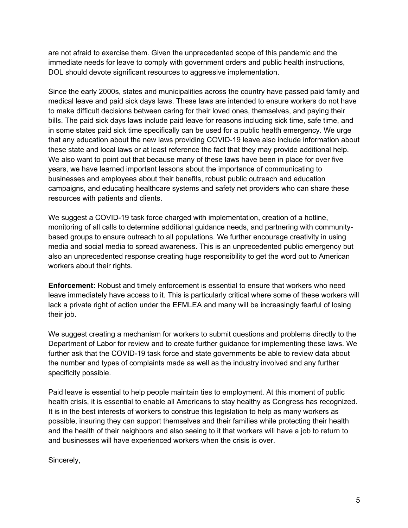are not afraid to exercise them. Given the unprecedented scope of this pandemic and the immediate needs for leave to comply with government orders and public health instructions, DOL should devote significant resources to aggressive implementation.

Since the early 2000s, states and municipalities across the country have passed paid family and medical leave and paid sick days laws. These laws are intended to ensure workers do not have to make difficult decisions between caring for their loved ones, themselves, and paying their bills. The paid sick days laws include paid leave for reasons including sick time, safe time, and in some states paid sick time specifically can be used for a public health emergency. We urge that any education about the new laws providing COVID-19 leave also include information about these state and local laws or at least reference the fact that they may provide additional help. We also want to point out that because many of these laws have been in place for over five years, we have learned important lessons about the importance of communicating to businesses and employees about their benefits, robust public outreach and education campaigns, and educating healthcare systems and safety net providers who can share these resources with patients and clients.

We suggest a COVID-19 task force charged with implementation, creation of a hotline, monitoring of all calls to determine additional guidance needs, and partnering with communitybased groups to ensure outreach to all populations. We further encourage creativity in using media and social media to spread awareness. This is an unprecedented public emergency but also an unprecedented response creating huge responsibility to get the word out to American workers about their rights.

**Enforcement:** Robust and timely enforcement is essential to ensure that workers who need leave immediately have access to it. This is particularly critical where some of these workers will lack a private right of action under the EFMLEA and many will be increasingly fearful of losing their job.

We suggest creating a mechanism for workers to submit questions and problems directly to the Department of Labor for review and to create further guidance for implementing these laws. We further ask that the COVID-19 task force and state governments be able to review data about the number and types of complaints made as well as the industry involved and any further specificity possible.

Paid leave is essential to help people maintain ties to employment. At this moment of public health crisis, it is essential to enable all Americans to stay healthy as Congress has recognized. It is in the best interests of workers to construe this legislation to help as many workers as possible, insuring they can support themselves and their families while protecting their health and the health of their neighbors and also seeing to it that workers will have a job to return to and businesses will have experienced workers when the crisis is over.

Sincerely,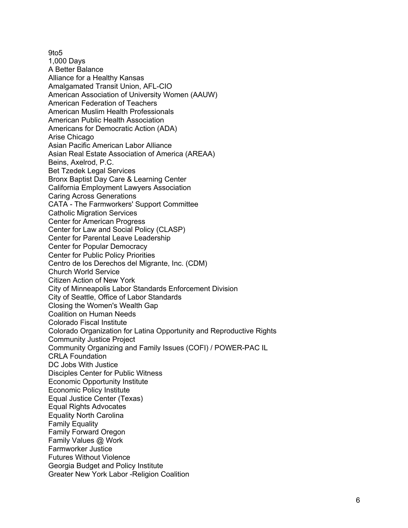9to5 1,000 Days A Better Balance Alliance for a Healthy Kansas Amalgamated Transit Union, AFL-CIO American Association of University Women (AAUW) American Federation of Teachers American Muslim Health Professionals American Public Health Association Americans for Democratic Action (ADA) Arise Chicago Asian Pacific American Labor Alliance Asian Real Estate Association of America (AREAA) Beins, Axelrod, P.C. Bet Tzedek Legal Services Bronx Baptist Day Care & Learning Center California Employment Lawyers Association Caring Across Generations CATA - The Farmworkers' Support Committee Catholic Migration Services Center for American Progress Center for Law and Social Policy (CLASP) Center for Parental Leave Leadership Center for Popular Democracy Center for Public Policy Priorities Centro de los Derechos del Migrante, Inc. (CDM) Church World Service Citizen Action of New York City of Minneapolis Labor Standards Enforcement Division City of Seattle, Office of Labor Standards Closing the Women's Wealth Gap Coalition on Human Needs Colorado Fiscal Institute Colorado Organization for Latina Opportunity and Reproductive Rights Community Justice Project Community Organizing and Family Issues (COFI) / POWER-PAC IL CRLA Foundation DC Jobs With Justice Disciples Center for Public Witness Economic Opportunity Institute Economic Policy Institute Equal Justice Center (Texas) Equal Rights Advocates Equality North Carolina Family Equality Family Forward Oregon Family Values @ Work Farmworker Justice Futures Without Violence Georgia Budget and Policy Institute Greater New York Labor -Religion Coalition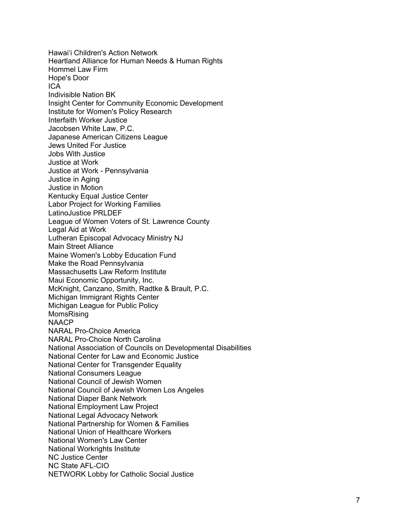Hawaiʻi Children's Action Network Heartland Alliance for Human Needs & Human Rights Hommel Law Firm Hope's Door ICA Indivisible Nation BK Insight Center for Community Economic Development Institute for Women's Policy Research Interfaith Worker Justice Jacobsen White Law, P.C. Japanese American Citizens League Jews United For Justice Jobs With Justice Justice at Work Justice at Work - Pennsylvania Justice in Aging Justice in Motion Kentucky Equal Justice Center Labor Project for Working Families LatinoJustice PRLDEF League of Women Voters of St. Lawrence County Legal Aid at Work Lutheran Episcopal Advocacy Ministry NJ Main Street Alliance Maine Women's Lobby Education Fund Make the Road Pennsylvania Massachusetts Law Reform Institute Maui Economic Opportunity, Inc. McKnight, Canzano, Smith, Radtke & Brault, P.C. Michigan Immigrant Rights Center Michigan League for Public Policy **MomsRising** NAACP NARAL Pro -Choice America NARAL Pro -Choice North Carolina National Association of Councils on Developmental Disabilities National Center for Law and Economic Justice National Center for Transgender Equality National Consumers League National Council of Jewish Women National Council of Jewish Women Los Angeles National Diaper Bank Network National Employment Law Project National Legal Advocacy Network National Partnership for Women & Families National Union of Healthcare Workers National Women's Law Center National Workrights Institute NC Justice Center NC State AFL -CIO NETWORK Lobby for Catholic Social Justice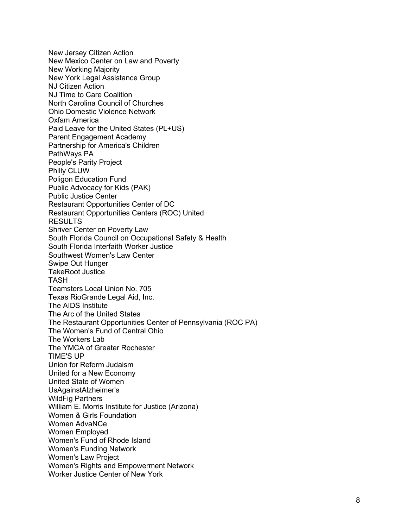New Jersey Citizen Action New Mexico Center on Law and Poverty New Working Majority New York Legal Assistance Group NJ Citizen Action NJ Time to Care Coalition North Carolina Council of Churches Ohio Domestic Violence Network Oxfam America Paid Leave for the United States (PL+US) Parent Engagement Academy Partnership for America's Children PathWays PA People's Parity Project Philly CLUW Poligon Education Fund Public Advocacy for Kids (PAK) Public Justice Center Restaurant Opportunities Center of DC Restaurant Opportunities Centers (ROC) United RESULTS Shriver Center on Poverty Law South Florida Council on Occupational Safety & Health South Florida Interfaith Worker Justice Southwest Women's Law Center Swipe Out Hunger TakeRoot Justice **TASH** Teamsters Local Union No. 705 Texas RioGrande Legal Aid, Inc. The AIDS Institute The Arc of the United States The Restaurant Opportunities Center of Pennsylvania (ROC PA) The Women's Fund of Central Ohio The Workers Lab The YMCA of Greater Rochester TIME'S UP Union for Reform Judaism United for a New Economy United State of Women UsAgainstAlzheimer's WildFig Partners William E. Morris Institute for Justice (Arizona) Women & Girls Foundation Women AdvaNCe Women Employed Women's Fund of Rhode Island Women's Funding Network Women's Law Project Women's Rights and Empowerment Network Worker Justice Center of New York